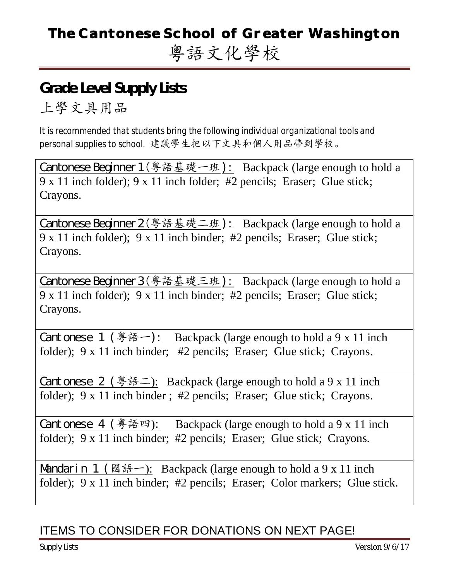# **The Cantonese School of Greater Washington** 粵語文化學校

### **Grade Level Supply Lists**  上學文具用品

*It is recommended that students bring the following individual organizational tools and personal supplies to school.* 建議學生把以下文具和個人用品帶到學校。

Cantonese Beginner 1(粵語基礎一班): Backpack (large enough to hold a 9 x 11 inch folder); 9 x 11 inch folder; #2 pencils; Eraser; Glue stick; Crayons.

Cantonese Beginner 2 ( 學 語 基 礎 二 班 ): Backpack (large enough to hold a 9 x 11 inch folder); 9 x 11 inch binder; #2 pencils; Eraser; Glue stick; Crayons.

Cantonese Beginner 3(粵語基礎三班): Backpack (large enough to hold a 9 x 11 inch folder); 9 x 11 inch binder; #2 pencils; Eraser; Glue stick; Crayons.

Cantonese 1 (學語一): Backpack (large enough to hold a 9 x 11 inch folder); 9 x 11 inch binder; #2 pencils; Eraser; Glue stick; Crayons.

Cantonese 2 (學語二): Backpack (large enough to hold a 9 x 11 inch folder); 9 x 11 inch binder ; #2 pencils; Eraser; Glue stick; Crayons.

Cantonese 4 (學語四): Backpack (large enough to hold a 9 x 11 inch folder); 9 x 11 inch binder; #2 pencils; Eraser; Glue stick; Crayons.

Mandarin 1 (國語一): Backpack (large enough to hold a 9 x 11 inch folder); 9 x 11 inch binder; #2 pencils; Eraser; Color markers; Glue stick.

### ITEMS TO CONSIDER FOR DONATIONS ON NEXT PAGE!